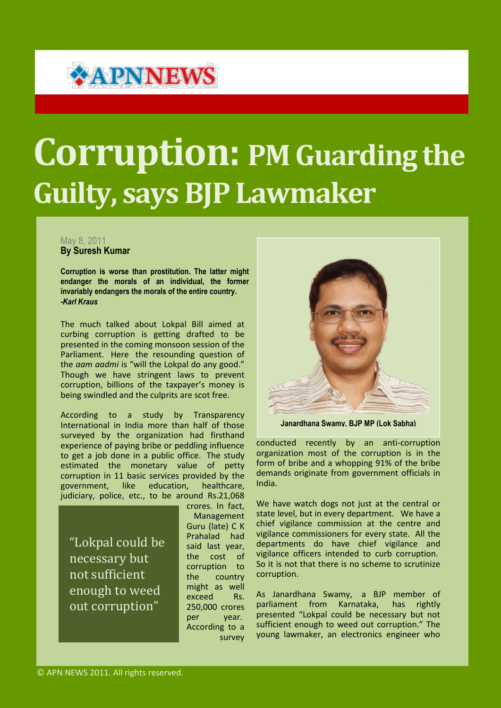## **\*APNNEWS**

## **Corruption: PM Guarding the Guilty, says BJP Lawmaker**

## May 8, 2011 **By Suresh Kumar**

**Corruption is worse than prostitution. The latter might endanger the morals of an individual, the former invariably endangers the morals of the entire country.** *-Karl Kraus*

The much talked about Lokpal Bill aimed at curbing corruption is getting drafted to be presented in the coming monsoon session of the Parliament. Here the resounding question of the *aam aadmi* is "will the Lokpal do any good." Though we have stringent laws to prevent corruption, billions of the taxpayer's money is being swindled and the culprits are scot free.

According to a study by Transparency International in India more than half of those surveyed by the organization had firsthand experience of paying bribe or peddling influence to get a job done in a public office. The study estimated the monetary value of petty corruption in 11 basic services provided by the government, like education, healthcare, judiciary, police, etc., to be around Rs.21,068

"Lokpal could be necessary but not sufficient enough to weed out corruption"

crores. In fact, Management Guru (late) C K Prahalad had said last year, the cost of corruption to the country might as well exceed Rs. 250,000 crores per year. According to a survey



**Janardhana Swamy, BJP MP (Lok Sabha)**

conducted recently by an anti-corruption organization most of the corruption is in the form of bribe and a whopping 91% of the bribe demands originate from government officials in India.

We have watch dogs not just at the central or state level, but in every department. We have a chief vigilance commission at the centre and vigilance commissioners for every state. All the departments do have chief vigilance and vigilance officers intended to curb corruption. So it is not that there is no scheme to scrutinize corruption.

As Janardhana Swamy, a BJP member of parliament from Karnataka, presented "Lokpal could be necessary but not sufficient enough to weed out corruption." The young lawmaker, an electronics engineer who